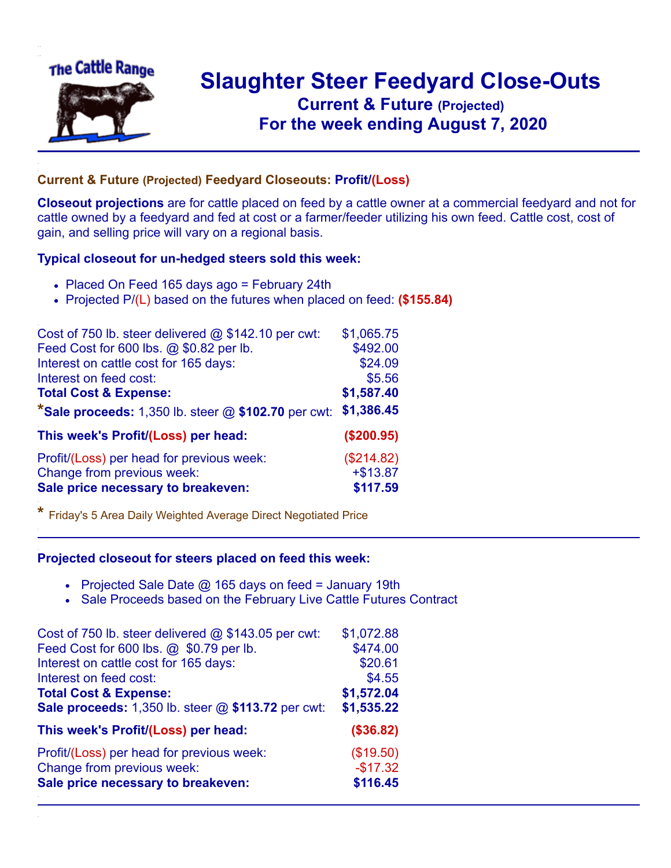

## **Slaughter Steer Feedyard Close-Outs Current & Future (Projected)** .**For the week ending August 7, 2020**

## **Current & Future (Projected) Feedyard Closeouts: Profit/(Loss)**

**Closeout projections** are for cattle placed on feed by a cattle owner at a commercial feedyard and not for cattle owned by a feedyard and fed at cost or a farmer/feeder utilizing his own feed. Cattle cost, cost of gain, and selling price will vary on a regional basis.

## **Typical closeout for un-hedged steers sold this week:**

- Placed On Feed 165 days ago = February 24th
- Projected P/(L) based on the futures when placed on feed: **(\$155.84)**

| Cost of 750 lb. steer delivered $@$ \$142.10 per cwt:   | \$1,065.75 |
|---------------------------------------------------------|------------|
| Feed Cost for 600 lbs. @ \$0.82 per lb.                 | \$492.00   |
| Interest on cattle cost for 165 days:                   | \$24.09    |
| Interest on feed cost:                                  | \$5.56     |
| <b>Total Cost &amp; Expense:</b>                        | \$1,587.40 |
| *Sale proceeds: $1,350$ lb. steer $@$ \$102.70 per cwt: | \$1,386.45 |
| This week's Profit/(Loss) per head:                     | (\$200.95) |
| Profit/(Loss) per head for previous week:               | (\$214.82) |
| Change from previous week:                              | $+ $13.87$ |
| Sale price necessary to breakeven:                      | \$117.59   |

**\*** Friday's 5 Area Daily Weighted Average Direct Negotiated Price

## **Projected closeout for steers placed on feed this week:**

- Projected Sale Date  $@$  165 days on feed = January 19th
- Sale Proceeds based on the February Live Cattle Futures Contract

| Cost of 750 lb. steer delivered $@$ \$143.05 per cwt: | \$1,072.88 |
|-------------------------------------------------------|------------|
| Feed Cost for 600 lbs. @ \$0.79 per lb.               | \$474.00   |
| Interest on cattle cost for 165 days:                 | \$20.61    |
| Interest on feed cost:                                | \$4.55     |
| <b>Total Cost &amp; Expense:</b>                      | \$1,572.04 |
| Sale proceeds: 1,350 lb. steer @ \$113.72 per cwt:    | \$1,535.22 |
| This week's Profit/(Loss) per head:                   | (\$36.82)  |
| Profit/(Loss) per head for previous week:             | (\$19.50)  |
| Change from previous week:                            | $-$17.32$  |
| Sale price necessary to breakeven:                    | \$116.45   |